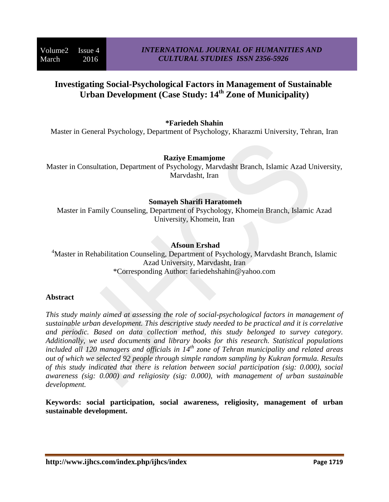# **Investigating Social-Psychological Factors in Management of Sustainable Urban Development (Case Study: 14th Zone of Municipality)**

# **\*Fariedeh Shahin**

Master in General Psychology, Department of Psychology, Kharazmi University, Tehran, Iran

### **Raziye Emamjome**

Master in Consultation, Department of Psychology, Marvdasht Branch, Islamic Azad University, Marvdasht, Iran

# **Somayeh Sharifi Haratomeh**

Master in Family Counseling, Department of Psychology, Khomein Branch, Islamic Azad University, Khomein, Iran

# **Afsoun Ershad**

<sup>4</sup>Master in Rehabilitation Counseling, Department of Psychology, Marvdasht Branch, Islamic Azad University, Marvdasht, Iran \*Corresponding Author: fariedehshahin@yahoo.com

#### **Abstract**

*This study mainly aimed at assessing the role of social-psychological factors in management of sustainable urban development. This descriptive study needed to be practical and it is correlative and periodic. Based on data collection method, this study belonged to survey category. Additionally, we used documents and library books for this research. Statistical populations included all 120 managers and officials in 14th zone of Tehran municipality and related areas out of which we selected 92 people through simple random sampling by Kukran formula. Results of this study indicated that there is relation between social participation (sig: 0.000), social awareness (sig: 0.000) and religiosity (sig: 0.000), with management of urban sustainable development.* 

**Keywords: social participation, social awareness, religiosity, management of urban sustainable development.**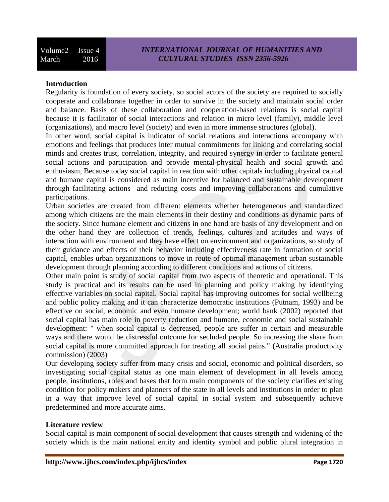### **Introduction**

Regularity is foundation of every society, so social actors of the society are required to socially cooperate and collaborate together in order to survive in the society and maintain social order and balance. Basis of these collaboration and cooperation-based relations is social capital because it is facilitator of social interactions and relation in micro level (family), middle level (organizations), and macro level (society) and even in more immense structures (global).

In other word, social capital is indicator of social relations and interactions accompany with emotions and feelings that produces inter mutual commitments for linking and correlating social minds and creates trust, correlation, integrity, and required synergy in order to facilitate general social actions and participation and provide mental-physical health and social growth and enthusiasm, Because today social capital in reaction with other capitals including physical capital and humane capital is considered as main incentive for balanced and sustainable development through facilitating actions and reducing costs and improving collaborations and cumulative participations.

Urban societies are created from different elements whether heterogeneous and standardized among which citizens are the main elements in their destiny and conditions as dynamic parts of the society. Since humane element and citizens in one hand are basis of any development and on the other hand they are collection of trends, feelings, cultures and attitudes and ways of interaction with environment and they have effect on environment and organizations, so study of their guidance and effects of their behavior including effectiveness rate in formation of social capital, enables urban organizations to move in route of optimal management urban sustainable development through planning according to different conditions and actions of citizens.

Other main point is study of social capital from two aspects of theoretic and operational. This study is practical and its results can be used in planning and policy making by identifying effective variables on social capital. Social capital has improving outcomes for social wellbeing and public policy making and it can characterize democratic institutions (Putnam, 1993) and be effective on social, economic and even humane development; world bank (2002) reported that social capital has main role in poverty reduction and humane, economic and social sustainable development: " when social capital is decreased, people are suffer in certain and measurable ways and there would be distressful outcome for secluded people. So increasing the share from social capital is more committed approach for treating all social pains." (Australia productivity commission) (2003)

Our developing society suffer from many crisis and social, economic and political disorders, so investigating social capital status as one main element of development in all levels among people, institutions, roles and bases that form main components of the society clarifies existing condition for policy makers and planners of the state in all levels and institutions in order to plan in a way that improve level of social capital in social system and subsequently achieve predetermined and more accurate aims.

# **Literature review**

Social capital is main component of social development that causes strength and widening of the society which is the main national entity and identity symbol and public plural integration in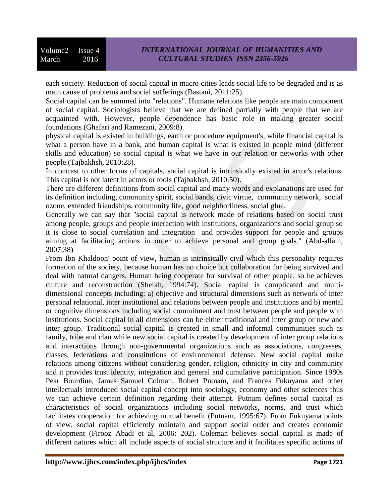each society. Reduction of social capital in macro cities leads social life to be degraded and is as main cause of problems and social sufferings (Bastani, 2011:25).

Social capital can be summed into "relations". Humane relations like people are main component of social capital. Sociologists believe that we are defined partially with people that we are acquainted with. However, people dependence has basic role in making greater social foundations (Ghafari and Ramezani, 2009:8).

physical capital is existed in buildings, earth or procedure equipment's, while financial capital is what a person have in a bank, and human capital is what is existed in people mind (different skills and education) so social capital is what we have in our relation or networks with other people.(Tajbakhsh, 2010:28).

In contrast to other forms of capitals, social capital is intrinsically existed in actor's relations. This capital is not latent in actors or tools (Tajbakhsh, 2010:50).

There are different definitions from social capital and many words and explanations are used for its definition including, community spirit, social bands, civic virtue, community network, social ozone, extended friendships, community life, good neighborliness, social glue.

Generally we can say that "social capital is network made of relations based on social trust among people, groups and people interaction with institutions, organizations and social group so it is close to social correlation and integration and provides support for people and groups aiming at facilitating actions in order to achieve personal and group goals." (Abd-allahi, 2007:38)

From Ibn Khaldoon' point of view, human is intrinsically civil which this personality requires formation of the society, because human has no choice but collaboration for being survived and deal with natural dangers. Human being cooperate for survival of other people, so he achieves culture and reconstruction (Sheikh, 1994:74). Social capital is complicated and multidimensional concepts including: a) objective and structural dimensions such as network of inter personal relational, inter institutional and relations between people and institutions and b) mental or cognitive dimensions including social commitment and trust between people and people with institutions. Social capital in all dimensions can be either traditional and inter group or new and inter group. Traditional social capital is created in small and informal communities such as family, tribe and clan while new social capital is created by development of inter group relations and interactions through non-governmental organizations such as associations, congresses, classes, federations and constitutions of environmental defense. New social capital make relations among citizens without considering gender, religion, ethnicity in city and community and it provides trust identity, integration and general and cumulative participation. Since 1980s Pear Bourdiue, James Samuel Colman, Robert Putnam, and Frances Fukuyama and other intellectuals introduced social capital concept into sociology, economy and other sciences thus we can achieve certain definition regarding their attempt. Putnam defines social capital as characteristics of social organizations including social networks, norms, and trust which facilitates cooperation for achieving mutual benefit (Putnam, 1995:67). From Fukuyama points of view, social capital efficiently maintain and support social order and creates economic development (Firooz Abadi et al, 2006: 202). Coleman believes social capital is made of different natures which all include aspects of social structure and it facilitates specific actions of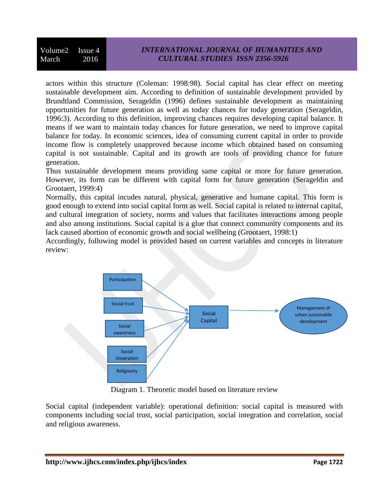actors within this structure (Coleman: 1998:98). Social capital has clear effect on meeting sustainable development aim. According to definition of sustainable development provided by Brundtland Commission, Serageldin (1996) defines sustainable development as maintaining opportunities for future generation as well as today chances for today generation (Serageldin, 1996:3). According to this definition, improving chances requires developing capital balance. It means if we want to maintain today chances for future generation, we need to improve capital balance for today. In economic sciences, idea of consuming current capital in order to provide income flow is completely unapproved because income which obtained based on consuming capital is not sustainable. Capital and its growth are tools of providing chance for future generation.

Thus sustainable development means providing same capital or more for future generation. However, its form can be different with capital form for future generation (Serageldin and Grootaert, 1999:4)

Normally, this capital incudes natural, physical, generative and humane capital. This form is good enough to extend into social capital form as well. Social capital is related to internal capital, and cultural integration of society, norms and values that facilitates interactions among people and also among institutions. Social capital is a glue that connect community components and its lack caused abortion of economic growth and social wellbeing (Grootaert, 1998:1)

Accordingly, following model is provided based on current variables and concepts in literature review:



Diagram 1. Theoretic model based on literature review

Social capital (independent variable): operational definition: social capital is measured with components including social trust, social participation, social integration and correlation, social and religious awareness.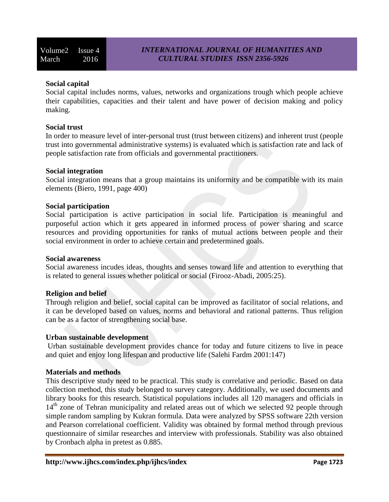# **Social capital**

Social capital includes norms, values, networks and organizations trough which people achieve their capabilities, capacities and their talent and have power of decision making and policy making.

# **Social trust**

In order to measure level of inter-personal trust (trust between citizens) and inherent trust (people trust into governmental administrative systems) is evaluated which is satisfaction rate and lack of people satisfaction rate from officials and governmental practitioners.

### **Social integration**

Social integration means that a group maintains its uniformity and be compatible with its main elements (Biero, 1991, page 400)

### **Social participation**

Social participation is active participation in social life. Participation is meaningful and purposeful action which it gets appeared in informed process of power sharing and scarce resources and providing opportunities for ranks of mutual actions between people and their social environment in order to achieve certain and predetermined goals.

#### **Social awareness**

Social awareness incudes ideas, thoughts and senses toward life and attention to everything that is related to general issues whether political or social (Firooz-Abadi, 2005:25).

# **Religion and belief**

Through religion and belief, social capital can be improved as facilitator of social relations, and it can be developed based on values, norms and behavioral and rational patterns. Thus religion can be as a factor of strengthening social base.

#### **Urban sustainable development**

Urban sustainable development provides chance for today and future citizens to live in peace and quiet and enjoy long lifespan and productive life (Salehi Fardm 2001:147)

# **Materials and methods**

This descriptive study need to be practical. This study is correlative and periodic. Based on data collection method, this study belonged to survey category. Additionally, we used documents and library books for this research. Statistical populations includes all 120 managers and officials in 14<sup>th</sup> zone of Tehran municipality and related areas out of which we selected 92 people through simple random sampling by Kukran formula. Data were analyzed by SPSS software 22th version and Pearson correlational coefficient. Validity was obtained by formal method through previous questionnaire of similar researches and interview with professionals. Stability was also obtained by Cronbach alpha in pretest as 0.885.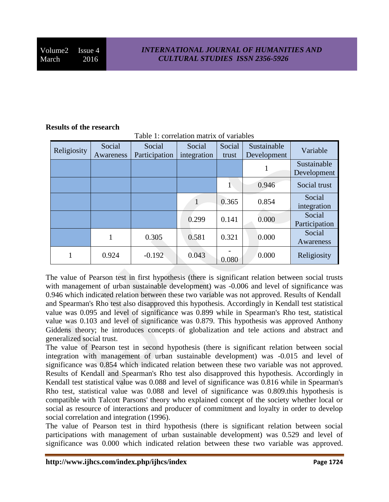### **Results of the research**

| Religiosity | Social<br>Awareness | Social<br>Participation | Social<br>integration | Social<br>trust | Sustainable<br>Development | Variable                   |
|-------------|---------------------|-------------------------|-----------------------|-----------------|----------------------------|----------------------------|
|             |                     |                         |                       |                 |                            | Sustainable<br>Development |
|             |                     |                         |                       |                 | 0.946                      | Social trust               |
|             |                     |                         |                       | 0.365           | 0.854                      | Social<br>integration      |
|             |                     |                         | 0.299                 | 0.141           | 0.000                      | Social<br>Participation    |
|             |                     | 0.305                   | 0.581                 | 0.321           | 0.000                      | Social<br>Awareness        |
|             | 0.924               | $-0.192$                | 0.043                 | 0.080           | 0.000                      | Religiosity                |

Table 1: correlation matrix of variables

The value of Pearson test in first hypothesis (there is significant relation between social trusts with management of urban sustainable development) was -0.006 and level of significance was 0.946 which indicated relation between these two variable was not approved. Results of Kendall and Spearman's Rho test also disapproved this hypothesis. Accordingly in Kendall test statistical value was 0.095 and level of significance was 0.899 while in Spearman's Rho test, statistical value was 0.103 and level of significance was 0.879. This hypothesis was approved Anthony Giddens theory; he introduces concepts of globalization and tele actions and abstract and generalized social trust.

The value of Pearson test in second hypothesis (there is significant relation between social integration with management of urban sustainable development) was -0.015 and level of significance was 0.854 which indicated relation between these two variable was not approved. Results of Kendall and Spearman's Rho test also disapproved this hypothesis. Accordingly in Kendall test statistical value was 0.088 and level of significance was 0.816 while in Spearman's Rho test, statistical value was 0.088 and level of significance was 0.809.this hypothesis is compatible with Talcott Parsons' theory who explained concept of the society whether local or social as resource of interactions and producer of commitment and loyalty in order to develop social correlation and integration (1996).

The value of Pearson test in third hypothesis (there is significant relation between social participations with management of urban sustainable development) was 0.529 and level of significance was 0.000 which indicated relation between these two variable was approved.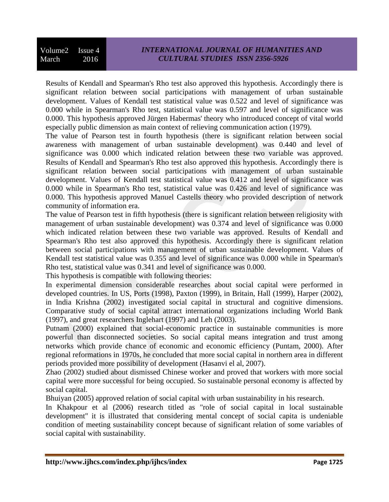Results of Kendall and Spearman's Rho test also approved this hypothesis. Accordingly there is significant relation between social participations with management of urban sustainable development. Values of Kendall test statistical value was 0.522 and level of significance was 0.000 while in Spearman's Rho test, statistical value was 0.597 and level of significance was 0.000. This hypothesis approved Jürgen Habermas' theory who introduced concept of vital world especially public dimension as main context of relieving communication action (1979).

The value of Pearson test in fourth hypothesis (there is significant relation between social awareness with management of urban sustainable development) was 0.440 and level of significance was 0.000 which indicated relation between these two variable was approved. Results of Kendall and Spearman's Rho test also approved this hypothesis. Accordingly there is significant relation between social participations with management of urban sustainable development. Values of Kendall test statistical value was 0.412 and level of significance was 0.000 while in Spearman's Rho test, statistical value was 0.426 and level of significance was 0.000. This hypothesis approved Manuel Castells theory who provided description of network community of information era.

The value of Pearson test in fifth hypothesis (there is significant relation between religiosity with management of urban sustainable development) was 0.374 and level of significance was 0.000 which indicated relation between these two variable was approved. Results of Kendall and Spearman's Rho test also approved this hypothesis. Accordingly there is significant relation between social participations with management of urban sustainable development. Values of Kendall test statistical value was 0.355 and level of significance was 0.000 while in Spearman's Rho test, statistical value was 0.341 and level of significance was 0.000.

This hypothesis is compatible with following theories:

In experimental dimension considerable researches about social capital were performed in developed countries. In US, Ports (1998), Paxton (1999), in Britain, Hall (1999), Harper (2002), in India Krishna (2002) investigated social capital in structural and cognitive dimensions. Comparative study of social capital attract international organizations including World Bank (1997), and great researchers Inglehart (1997) and Leh (2003).

Putnam (2000) explained that social-economic practice in sustainable communities is more powerful than disconnected societies. So social capital means integration and trust among networks which provide chance of economic and economic efficiency (Puntam, 2000). After regional reformations in 1970s, he concluded that more social capital in northern area in different periods provided more possibility of development (Hasanvi el al, 2007).

Zhao (2002) studied about dismissed Chinese worker and proved that workers with more social capital were more successful for being occupied. So sustainable personal economy is affected by social capital.

Bhuiyan (2005) approved relation of social capital with urban sustainability in his research.

In Khakpour et al (2006) research titled as "role of social capital in local sustainable development" it is illustrated that considering mental concept of social capita is undeniable condition of meeting sustainability concept because of significant relation of some variables of social capital with sustainability.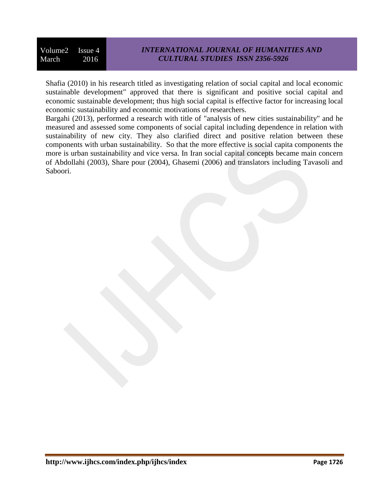Volume2 Issue 4 March 2016

Shafia (2010) in his research titled as investigating relation of social capital and local economic sustainable development" approved that there is significant and positive social capital and economic sustainable development; thus high social capital is effective factor for increasing local economic sustainability and economic motivations of researchers.

Bargahi (2013), performed a research with title of "analysis of new cities sustainability" and he measured and assessed some components of social capital including dependence in relation with sustainability of new city. They also clarified direct and positive relation between these components with urban sustainability. So that the more effective is social capita components the more is urban sustainability and vice versa. In Iran social capital concepts became main concern of Abdollahi (2003), Share pour (2004), Ghasemi (2006) and translators including Tavasoli and Saboori.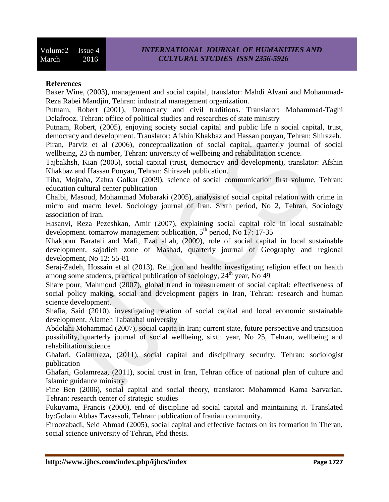#### **References**

Baker Wine, (2003), management and social capital, translator: Mahdi Alvani and Mohammad-Reza Rabei Mandjin, Tehran: industrial management organization.

Putnam, Robert (2001), Democracy and civil traditions. Translator: Mohammad-Taghi Delafrooz. Tehran: office of political studies and researches of state ministry

Putnam, Robert, (2005), enjoying society social capital and public life n social capital, trust, democracy and development. Translator: Afshin Khakbaz and Hassan pouyan, Tehran: Shirazeh.

Piran, Parviz et al (2006), conceptualization of social capital, quarterly journal of social wellbeing, 23 th number, Tehran: university of wellbeing and rehabilitation science.

Tajbakhsh, Kian (2005), social capital (trust, democracy and development), translator: Afshin Khakbaz and Hassan Pouyan, Tehran: Shirazeh publication.

Tiba, Mojtaba, Zahra Golkar (2009), science of social communication first volume, Tehran: education cultural center publication

Chalbi, Masoud, Mohammad Mobaraki (2005), analysis of social capital relation with crime in micro and macro level. Sociology journal of Iran. Sixth period, No 2, Tehran, Sociology association of Iran.

Hasanvi, Reza Pezeshkan, Amir (2007), explaining social capital role in local sustainable development. tomarrow management publication, 5<sup>th</sup> period, No 17: 17-35

Khakpour Baratali and Mafi, Ezat allah, (2009), role of social capital in local sustainable development, sajadieh zone of Mashad, quarterly journal of Geography and regional development, No 12: 55-81

Seraj-Zadeh, Hossain et al (2013). Religion and health: investigating religion effect on health among some students, practical publication of sociology,  $24<sup>th</sup>$  year, No 49

Share pour, Mahmoud (2007), global trend in measurement of social capital: effectiveness of social policy making, social and development papers in Iran, Tehran: research and human science development.

Shafia, Said (2010), investigating relation of social capital and local economic sustainable development, Alameh Tabatabai university

Abdolahi Mohammad (2007), social capita in Iran; current state, future perspective and transition possibility, quarterly journal of social wellbeing, sixth year, No 25, Tehran, wellbeing and rehabilitation science

Ghafari, Golamreza, (2011), social capital and disciplinary security, Tehran: sociologist publication

Ghafari, Golamreza, (2011), social trust in Iran, Tehran office of national plan of culture and Islamic guidance ministry

Fine Ben (2006), social capital and social theory, translator: Mohammad Kama Sarvarian. Tehran: research center of strategic studies

Fukuyama, Francis (2000), end of discipline ad social capital and maintaining it. Translated by:Golam Abbas Tavassoli, Tehran: publication of Iranian community.

Firoozabadi, Seid Ahmad (2005), social capital and effective factors on its formation in Theran, social science university of Tehran, Phd thesis.